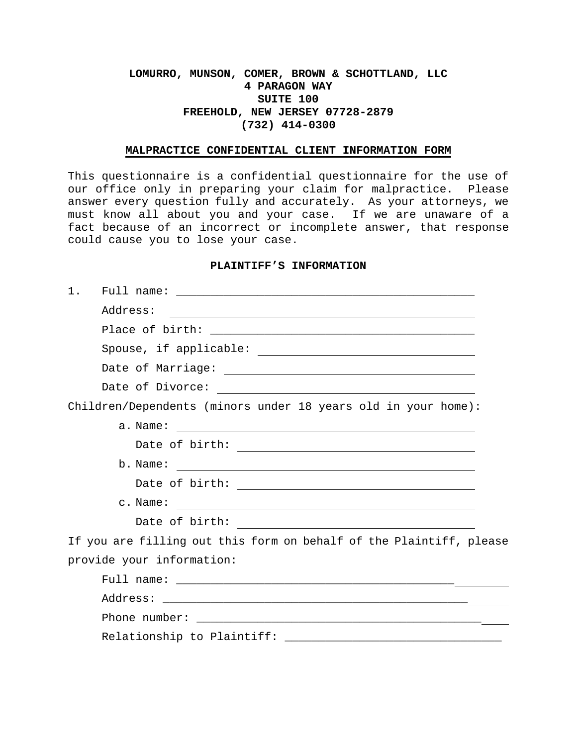# **LOMURRO, MUNSON, COMER, BROWN & SCHOTTLAND, LLC 4 PARAGON WAY SUITE 100 FREEHOLD, NEW JERSEY 07728-2879 (732) 414-0300**

#### **MALPRACTICE CONFIDENTIAL CLIENT INFORMATION FORM**

This questionnaire is a confidential questionnaire for the use of our office only in preparing your claim for malpractice. Please answer every question fully and accurately. As your attorneys, we must know all about you and your case. If we are unaware of a fact because of an incorrect or incomplete answer, that response could cause you to lose your case.

#### **PLAINTIFF'S INFORMATION**

| 1.                                                                  |
|---------------------------------------------------------------------|
|                                                                     |
|                                                                     |
|                                                                     |
|                                                                     |
|                                                                     |
| Children/Dependents (minors under 18 years old in your home):       |
|                                                                     |
| Date of birth: $\overline{\qquad \qquad }$                          |
|                                                                     |
| Date of birth: $\overline{\qquad \qquad }$                          |
|                                                                     |
| Date of birth: $\overline{\qquad \qquad }$                          |
| If you are filling out this form on behalf of the Plaintiff, please |
| provide your information:                                           |
|                                                                     |
|                                                                     |
|                                                                     |
|                                                                     |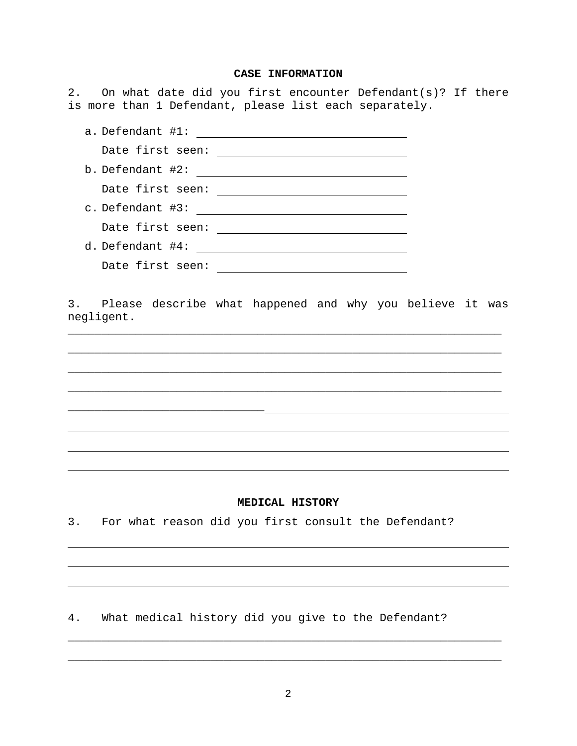## **CASE INFORMATION**

2. On what date did you first encounter Defendant(s)? If there is more than 1 Defendant, please list each separately.

| a. Defendant #1:      |
|-----------------------|
| Date first seen:      |
| b. Defendant #2:      |
| Date first seen:      |
| c. Defendant #3:      |
| Date first seen:      |
| $d.$ Defendant $#4$ : |
| Date first seen:      |

3. Please describe what happened and why you believe it was negligent.

\_\_\_\_\_\_\_\_\_\_\_\_\_\_\_\_\_\_\_\_\_\_\_\_\_\_\_\_\_\_\_\_\_\_\_\_\_\_\_\_\_\_\_\_\_\_\_\_\_\_\_\_\_\_\_\_\_\_\_\_\_\_\_\_

\_\_\_\_\_\_\_\_\_\_\_\_\_\_\_\_\_\_\_\_\_\_\_\_\_\_\_\_\_\_\_\_\_\_\_\_\_\_\_\_\_\_\_\_\_\_\_\_\_\_\_\_\_\_\_\_\_\_\_\_\_\_\_\_

\_\_\_\_\_\_\_\_\_\_\_\_\_\_\_\_\_\_\_\_\_\_\_\_\_\_\_\_\_\_\_\_\_\_\_\_\_\_\_\_\_\_\_\_\_\_\_\_\_\_\_\_\_\_\_\_\_\_\_\_\_\_\_\_

\_\_\_\_\_\_\_\_\_\_\_\_\_\_\_\_\_\_\_\_\_\_\_\_\_\_\_\_\_\_\_\_\_\_\_\_\_\_\_\_\_\_\_\_\_\_\_\_\_\_\_\_\_\_\_\_\_\_\_\_\_\_\_\_

### **MEDICAL HISTORY**

3. For what reason did you first consult the Defendant?

\_\_\_\_\_\_\_\_\_\_\_\_\_\_\_\_\_\_\_\_\_\_\_\_\_\_\_\_\_

4. What medical history did you give to the Defendant?

\_\_\_\_\_\_\_\_\_\_\_\_\_\_\_\_\_\_\_\_\_\_\_\_\_\_\_\_\_\_\_\_\_\_\_\_\_\_\_\_\_\_\_\_\_\_\_\_\_\_\_\_\_\_\_\_\_\_\_\_\_\_\_\_

\_\_\_\_\_\_\_\_\_\_\_\_\_\_\_\_\_\_\_\_\_\_\_\_\_\_\_\_\_\_\_\_\_\_\_\_\_\_\_\_\_\_\_\_\_\_\_\_\_\_\_\_\_\_\_\_\_\_\_\_\_\_\_\_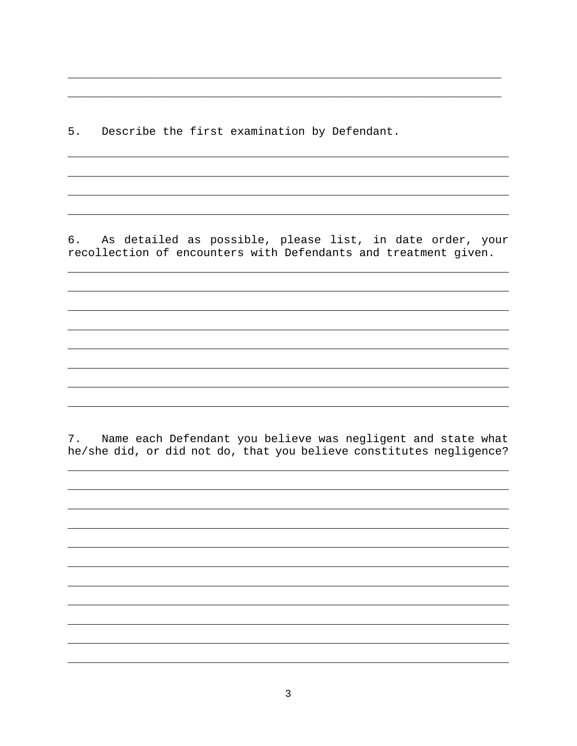5. Describe the first examination by Defendant.

6. As detailed as possible, please list, in date order, your recollection of encounters with Defendants and treatment given.

\_\_\_\_\_\_\_\_\_\_\_\_\_\_\_\_\_\_\_\_\_\_\_\_\_\_\_\_\_\_\_\_\_\_\_\_\_\_\_\_\_\_\_\_\_\_\_\_\_\_\_\_\_\_\_\_\_\_\_\_\_\_\_\_

\_\_\_\_\_\_\_\_\_\_\_\_\_\_\_\_\_\_\_\_\_\_\_\_\_\_\_\_\_\_\_\_\_\_\_\_\_\_\_\_\_\_\_\_\_\_\_\_\_\_\_\_\_\_\_\_\_\_\_\_\_\_\_\_

7. Name each Defendant you believe was negligent and state what he/she did, or did not do, that you believe constitutes negligence?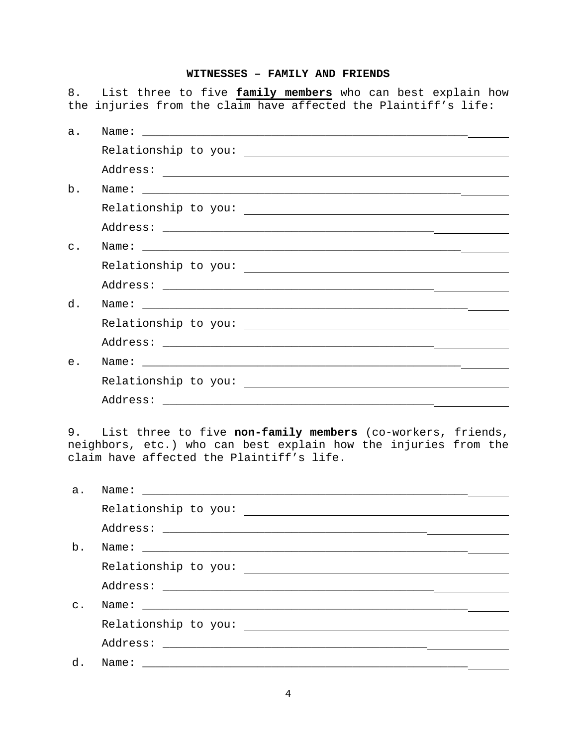## **WITNESSES – FAMILY AND FRIENDS**

8. List three to five **family members** who can best explain how the injuries from the claim have affected the Plaintiff's life:

| а.    |  |
|-------|--|
|       |  |
|       |  |
| b.    |  |
|       |  |
|       |  |
| $C$ . |  |
|       |  |
|       |  |
| d.    |  |
|       |  |
|       |  |
| e.    |  |
|       |  |
|       |  |
|       |  |

9. List three to five **non-family members** (co-workers, friends, neighbors, etc.) who can best explain how the injuries from the claim have affected the Plaintiff's life.

| a.             |                      |  |
|----------------|----------------------|--|
|                | Relationship to you: |  |
|                |                      |  |
| b.             |                      |  |
|                |                      |  |
|                |                      |  |
| $\mathsf{C}$ . |                      |  |
|                |                      |  |
|                |                      |  |
| d.             | Name:                |  |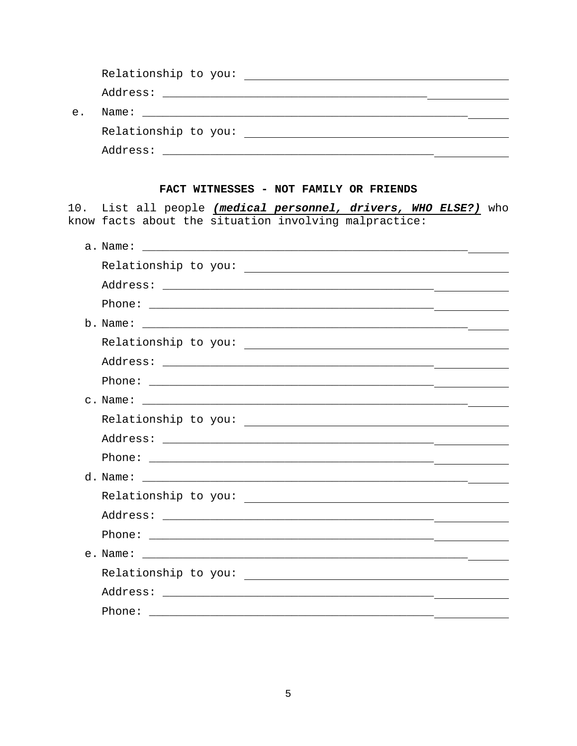| $e$ . |                                                                                                                                   |  |
|-------|-----------------------------------------------------------------------------------------------------------------------------------|--|
|       |                                                                                                                                   |  |
|       |                                                                                                                                   |  |
|       |                                                                                                                                   |  |
|       | FACT WITNESSES - NOT FAMILY OR FRIENDS                                                                                            |  |
|       | 10. List all people (medical personnel, drivers, WHO ELSE?) who<br>know facts about the situation involving malpractice:          |  |
|       |                                                                                                                                   |  |
|       |                                                                                                                                   |  |
|       |                                                                                                                                   |  |
|       |                                                                                                                                   |  |
|       |                                                                                                                                   |  |
|       |                                                                                                                                   |  |
|       |                                                                                                                                   |  |
|       |                                                                                                                                   |  |
|       |                                                                                                                                   |  |
|       |                                                                                                                                   |  |
|       |                                                                                                                                   |  |
|       |                                                                                                                                   |  |
|       |                                                                                                                                   |  |
|       |                                                                                                                                   |  |
|       |                                                                                                                                   |  |
|       |                                                                                                                                   |  |
|       | e. Name:<br><u> 1999 - Jan James James James James James James James James James James James James James James James James Ja</u> |  |
|       |                                                                                                                                   |  |
|       |                                                                                                                                   |  |
|       | Phone:                                                                                                                            |  |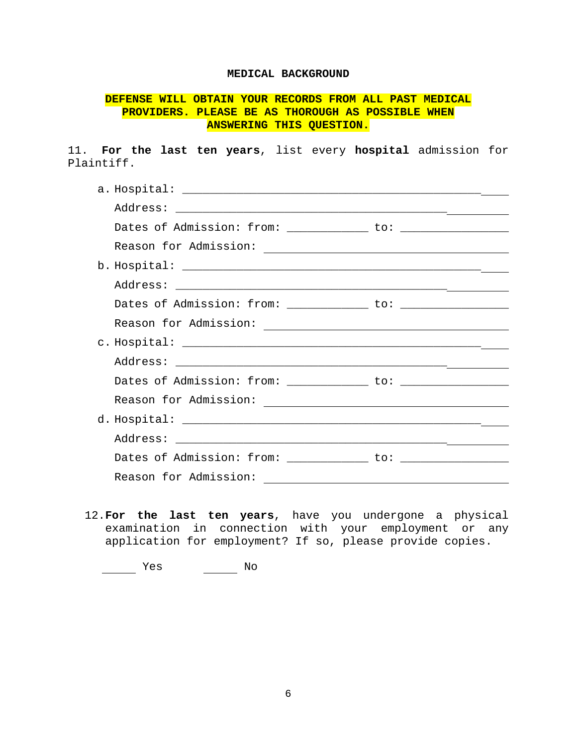## **MEDICAL BACKGROUND**

# **DEFENSE WILL OBTAIN YOUR RECORDS FROM ALL PAST MEDICAL PROVIDERS. PLEASE BE AS THOROUGH AS POSSIBLE WHEN ANSWERING THIS QUESTION.**

11. **For the last ten years**, list every **hospital** admission for Plaintiff.

| Dates of Admission: from: ______________ to: ________________ |  |
|---------------------------------------------------------------|--|
| Reason for Admission:                                         |  |

12.**For the last ten years**, have you undergone a physical examination in connection with your employment or any application for employment? If so, please provide copies.

\_\_\_\_\_\_\_ Yes \_\_\_\_\_\_\_ No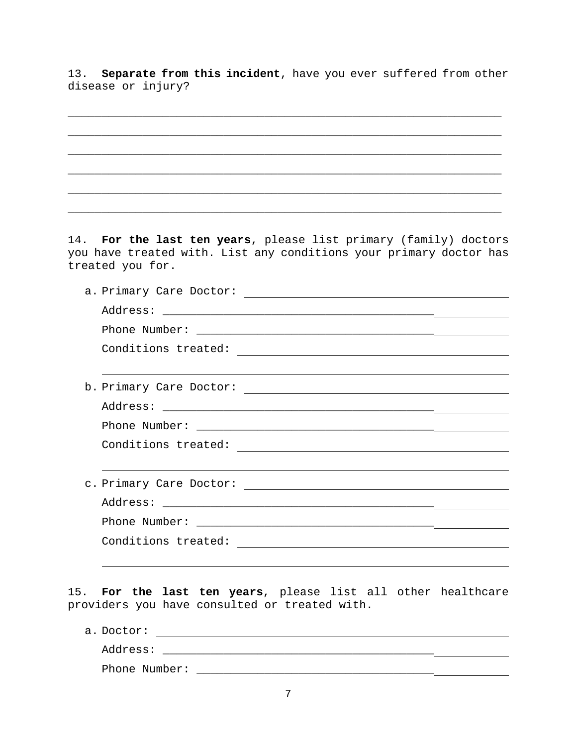13. **Separate from this incident**, have you ever suffered from other disease or injury?

14. **For the last ten years**, please list primary (family) doctors you have treated with. List any conditions your primary doctor has treated you for.

15. **For the last ten years**, please list all other healthcare providers you have consulted or treated with.

a. Doctor: Address: \_\_\_\_\_\_\_\_\_\_\_\_\_\_\_\_\_\_\_\_\_\_\_\_\_\_\_\_\_\_\_\_\_\_\_\_\_\_\_\_ Phone Number: \_\_\_\_\_\_\_\_\_\_\_\_\_\_\_\_\_\_\_\_\_\_\_\_\_\_\_\_\_\_\_\_\_\_\_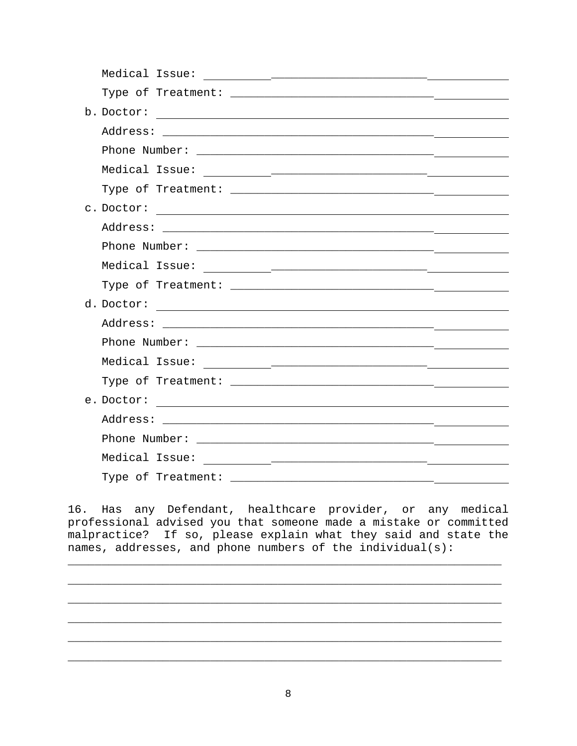|  | and the contract of the contract of the |
|--|-----------------------------------------|
|  |                                         |
|  |                                         |
|  |                                         |
|  |                                         |
|  |                                         |
|  |                                         |
|  |                                         |
|  |                                         |

16. Has any Defendant, healthcare provider, or any medical professional advised you that someone made a mistake or committed malpractice? If so, please explain what they said and state the names, addresses, and phone numbers of the individual(s):

\_\_\_\_\_\_\_\_\_\_\_\_\_\_\_\_\_\_\_\_\_\_\_\_\_\_\_\_\_\_\_\_\_\_\_\_\_\_\_\_\_\_\_\_\_\_\_\_\_\_\_\_\_\_\_\_\_\_\_\_\_\_\_\_

\_\_\_\_\_\_\_\_\_\_\_\_\_\_\_\_\_\_\_\_\_\_\_\_\_\_\_\_\_\_\_\_\_\_\_\_\_\_\_\_\_\_\_\_\_\_\_\_\_\_\_\_\_\_\_\_\_\_\_\_\_\_\_\_

\_\_\_\_\_\_\_\_\_\_\_\_\_\_\_\_\_\_\_\_\_\_\_\_\_\_\_\_\_\_\_\_\_\_\_\_\_\_\_\_\_\_\_\_\_\_\_\_\_\_\_\_\_\_\_\_\_\_\_\_\_\_\_\_

\_\_\_\_\_\_\_\_\_\_\_\_\_\_\_\_\_\_\_\_\_\_\_\_\_\_\_\_\_\_\_\_\_\_\_\_\_\_\_\_\_\_\_\_\_\_\_\_\_\_\_\_\_\_\_\_\_\_\_\_\_\_\_\_

\_\_\_\_\_\_\_\_\_\_\_\_\_\_\_\_\_\_\_\_\_\_\_\_\_\_\_\_\_\_\_\_\_\_\_\_\_\_\_\_\_\_\_\_\_\_\_\_\_\_\_\_\_\_\_\_\_\_\_\_\_\_\_\_

\_\_\_\_\_\_\_\_\_\_\_\_\_\_\_\_\_\_\_\_\_\_\_\_\_\_\_\_\_\_\_\_\_\_\_\_\_\_\_\_\_\_\_\_\_\_\_\_\_\_\_\_\_\_\_\_\_\_\_\_\_\_\_\_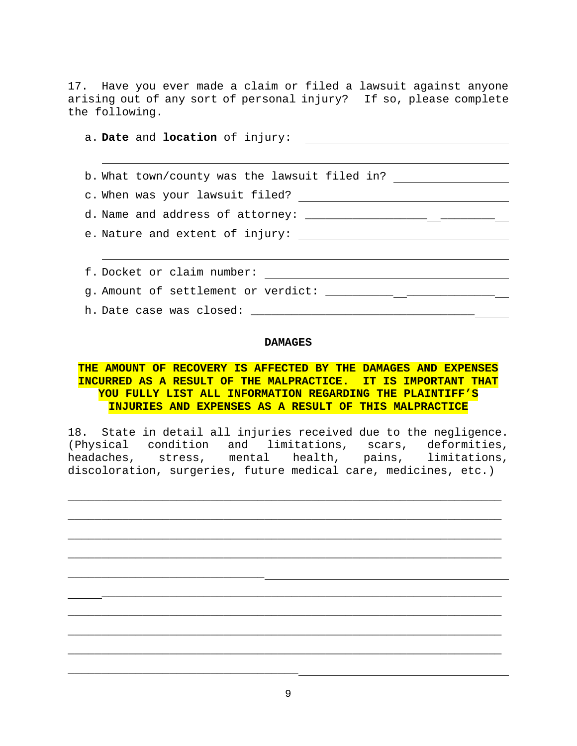17. Have you ever made a claim or filed a lawsuit against anyone arising out of any sort of personal injury? If so, please complete the following.

| b. What town/county was the lawsuit filed in? __________________________________                                                                                                                                                                                                                           |
|------------------------------------------------------------------------------------------------------------------------------------------------------------------------------------------------------------------------------------------------------------------------------------------------------------|
|                                                                                                                                                                                                                                                                                                            |
| d. Name and address of attorney: $\frac{1}{2}$ $\frac{1}{2}$ $\frac{1}{2}$ $\frac{1}{2}$ $\frac{1}{2}$ $\frac{1}{2}$ $\frac{1}{2}$ $\frac{1}{2}$ $\frac{1}{2}$ $\frac{1}{2}$ $\frac{1}{2}$ $\frac{1}{2}$ $\frac{1}{2}$ $\frac{1}{2}$ $\frac{1}{2}$ $\frac{1}{2}$ $\frac{1}{2}$ $\frac{1}{2}$ $\frac{1}{2}$ |
|                                                                                                                                                                                                                                                                                                            |
|                                                                                                                                                                                                                                                                                                            |
|                                                                                                                                                                                                                                                                                                            |
| g. Amount of settlement or verdict: _____________ _________________                                                                                                                                                                                                                                        |
|                                                                                                                                                                                                                                                                                                            |

### **DAMAGES**

# **THE AMOUNT OF RECOVERY IS AFFECTED BY THE DAMAGES AND EXPENSES INCURRED AS A RESULT OF THE MALPRACTICE. IT IS IMPORTANT THAT YOU FULLY LIST ALL INFORMATION REGARDING THE PLAINTIFF'S INJURIES AND EXPENSES AS A RESULT OF THIS MALPRACTICE**

18. State in detail all injuries received due to the negligence. (Physical condition and limitations, scars, deformities, headaches, stress, mental health, pains, limitations, discoloration, surgeries, future medical care, medicines, etc.)

\_\_\_\_\_\_\_\_\_\_\_\_\_\_\_\_\_\_\_\_\_\_\_\_\_\_\_\_\_\_\_\_\_\_\_\_\_\_\_\_\_\_\_\_\_\_\_\_\_\_\_\_\_\_\_\_\_\_\_\_\_\_\_\_

\_\_\_\_\_\_\_\_\_\_\_\_\_\_\_\_\_\_\_\_\_\_\_\_\_\_\_\_\_\_\_\_\_\_\_\_\_\_\_\_\_\_\_\_\_\_\_\_\_\_\_\_\_\_\_\_\_\_\_\_\_\_\_\_

\_\_\_\_\_\_\_\_\_\_\_\_\_\_\_\_\_\_\_\_\_\_\_\_\_\_\_\_\_\_\_\_\_\_\_\_\_\_\_\_\_\_\_\_\_\_\_\_\_\_\_\_\_\_\_\_\_\_\_\_\_\_\_\_

\_\_\_\_\_\_\_\_\_\_\_\_\_\_\_\_\_\_\_\_\_\_\_\_\_\_\_\_\_\_\_\_\_\_\_\_\_\_\_\_\_\_\_\_\_\_\_\_\_\_\_\_\_\_\_\_\_\_\_\_\_\_\_\_

\_\_\_\_\_\_\_\_\_\_\_\_\_\_\_\_\_\_\_\_\_\_\_\_\_\_\_\_\_\_\_\_\_\_\_\_\_\_\_\_\_\_\_\_\_\_\_\_\_\_\_\_\_\_\_\_\_\_\_

\_\_\_\_\_\_\_\_\_\_\_\_\_\_\_\_\_\_\_\_\_\_\_\_\_\_\_\_\_\_\_\_\_\_\_\_\_\_\_\_\_\_\_\_\_\_\_\_\_\_\_\_\_\_\_\_\_\_\_\_\_\_\_\_

\_\_\_\_\_\_\_\_\_\_\_\_\_\_\_\_\_\_\_\_\_\_\_\_\_\_\_\_\_\_\_\_\_\_\_\_\_\_\_\_\_\_\_\_\_\_\_\_\_\_\_\_\_\_\_\_\_\_\_\_\_\_\_\_

\_\_\_\_\_\_\_\_\_\_\_\_\_\_\_\_\_\_\_\_\_\_\_\_\_\_\_\_\_\_\_\_\_\_\_\_\_\_\_\_\_\_\_\_\_\_\_\_\_\_\_\_\_\_\_\_\_\_\_\_\_\_\_\_

\_\_\_\_\_\_\_\_\_\_\_\_\_\_\_\_\_\_\_\_\_\_\_\_\_\_\_\_\_

\_\_\_\_\_\_\_\_\_\_\_\_\_\_\_\_\_\_\_\_\_\_\_\_\_\_\_\_\_\_\_\_\_\_

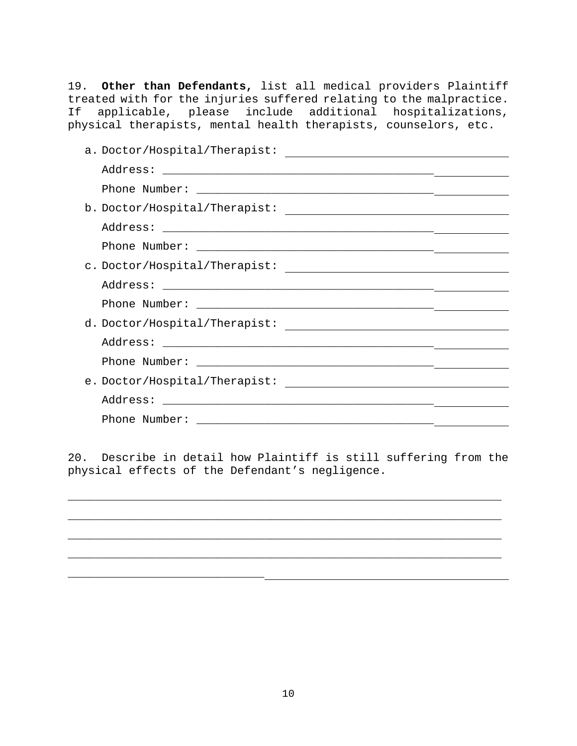19. **Other than Defendants,** list all medical providers Plaintiff treated with for the injuries suffered relating to the malpractice. If applicable, please include additional hospitalizations, physical therapists, mental health therapists, counselors, etc.

| a. Doctor/Hospital/Therapist:<br><u> 1989 - John Stein, Amerikaansk politiker (</u> |  |
|-------------------------------------------------------------------------------------|--|
|                                                                                     |  |
|                                                                                     |  |
|                                                                                     |  |
|                                                                                     |  |
|                                                                                     |  |
|                                                                                     |  |
|                                                                                     |  |
|                                                                                     |  |
|                                                                                     |  |
|                                                                                     |  |
|                                                                                     |  |
|                                                                                     |  |
|                                                                                     |  |
|                                                                                     |  |
|                                                                                     |  |

20. Describe in detail how Plaintiff is still suffering from the physical effects of the Defendant's negligence.

\_\_\_\_\_\_\_\_\_\_\_\_\_\_\_\_\_\_\_\_\_\_\_\_\_\_\_\_\_\_\_\_\_\_\_\_\_\_\_\_\_\_\_\_\_\_\_\_\_\_\_\_\_\_\_\_\_\_\_\_\_\_\_\_

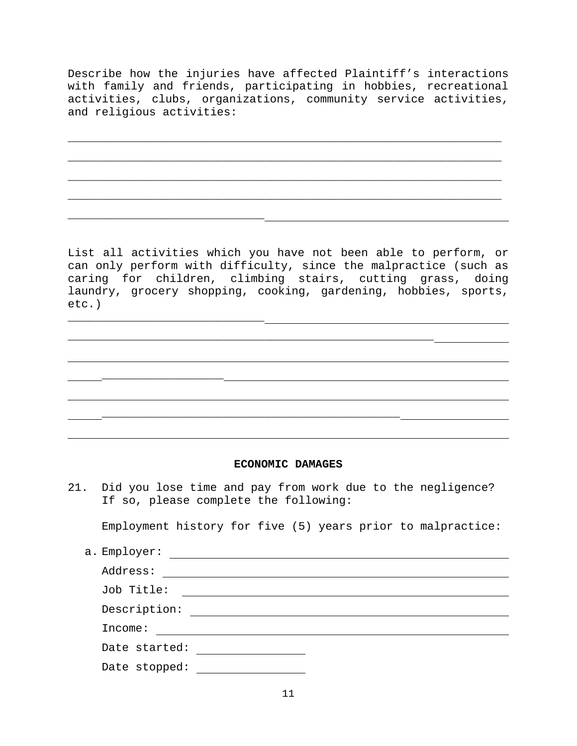Describe how the injuries have affected Plaintiff's interactions with family and friends, participating in hobbies, recreational activities, clubs, organizations, community service activities, and religious activities:

\_\_\_\_\_\_\_\_\_\_\_\_\_\_\_\_\_\_\_\_\_\_\_\_\_\_\_\_\_\_\_\_\_\_\_\_\_\_\_\_\_\_\_\_\_\_\_\_\_\_\_\_\_\_\_\_\_\_\_\_\_\_\_\_

\_\_\_\_\_\_\_\_\_\_\_\_\_\_\_\_\_\_\_\_\_\_\_\_\_\_\_\_\_\_\_\_\_\_\_\_\_\_\_\_\_\_\_\_\_\_\_\_\_\_\_\_\_\_\_\_\_\_\_\_\_\_\_\_

\_\_\_\_\_\_\_\_\_\_\_\_\_\_\_\_\_\_\_\_\_\_\_\_\_\_\_\_\_\_\_\_\_\_\_\_\_\_\_\_\_\_\_\_\_\_\_\_\_\_\_\_\_\_\_\_\_\_\_\_\_\_\_\_

\_\_\_\_\_\_\_\_\_\_\_\_\_\_\_\_\_\_\_\_\_\_\_\_\_\_\_\_\_\_\_\_\_\_\_\_\_\_\_\_\_\_\_\_\_\_\_\_\_\_\_\_\_\_\_\_\_\_\_\_\_\_\_\_

\_\_\_\_\_\_\_\_\_\_\_\_\_\_\_\_\_\_\_\_\_\_\_\_\_\_\_\_\_

\_\_\_\_\_\_\_\_\_\_\_\_\_\_\_\_\_\_\_\_\_\_\_\_\_\_\_\_\_

\_\_\_\_\_\_\_\_\_\_\_\_\_\_\_\_\_\_

List all activities which you have not been able to perform, or can only perform with difficulty, since the malpractice (such as caring for children, climbing stairs, cutting grass, doing laundry, grocery shopping, cooking, gardening, hobbies, sports, etc.)

\_\_\_\_\_\_\_\_\_\_\_\_\_\_\_\_\_\_\_\_\_\_\_\_\_\_\_\_\_\_\_\_\_\_\_\_\_\_\_\_\_\_\_\_\_\_\_\_\_\_\_\_\_\_

\_\_\_\_\_\_\_\_\_\_\_\_\_\_\_\_\_\_\_\_\_\_\_\_\_\_\_\_\_\_\_\_\_\_\_\_\_\_\_\_\_\_\_\_

### **ECONOMIC DAMAGES**

21. Did you lose time and pay from work due to the negligence? If so, please complete the following:

Employment history for five (5) years prior to malpractice:

| a. Employer:  |
|---------------|
| Address:      |
| Job Title:    |
| Description:  |
| Income:       |
| Date started: |
| Date stopped: |
|               |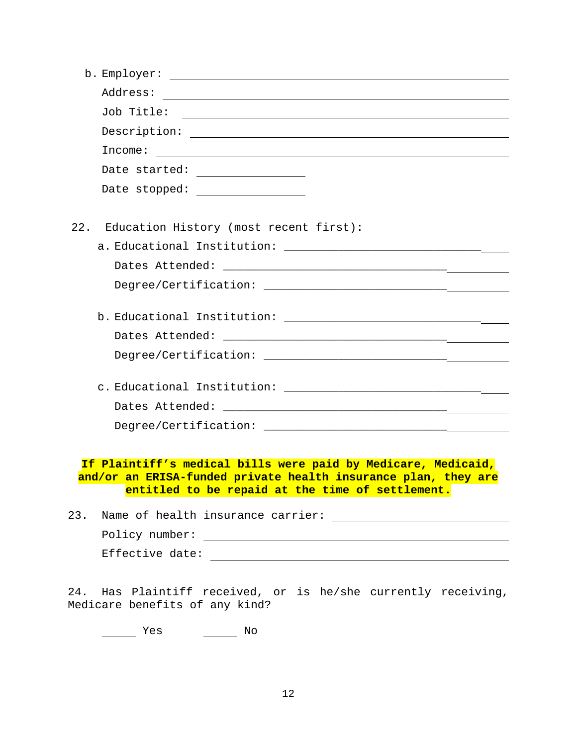| b. Employer:<br><u> 1989 - Johann Stoff, amerikansk politiker (d. 1989)</u>                                        |
|--------------------------------------------------------------------------------------------------------------------|
|                                                                                                                    |
|                                                                                                                    |
|                                                                                                                    |
| Income:                                                                                                            |
|                                                                                                                    |
| Date stopped: _________________                                                                                    |
|                                                                                                                    |
| Education History (most recent first):<br>22.                                                                      |
|                                                                                                                    |
|                                                                                                                    |
|                                                                                                                    |
|                                                                                                                    |
|                                                                                                                    |
|                                                                                                                    |
|                                                                                                                    |
|                                                                                                                    |
|                                                                                                                    |
|                                                                                                                    |
|                                                                                                                    |
|                                                                                                                    |
| If Plaintiff's medical bills were paid by Medicare, Medicaid,                                                      |
| and/or an ERISA-funded private health insurance plan, they are<br>entitled to be repaid at the time of settlement. |
|                                                                                                                    |
| 23. Name of health insurance carrier:                                                                              |

| --- |                 |  |  |
|-----|-----------------|--|--|
|     | Policy number:  |  |  |
|     | Effective date: |  |  |

24. Has Plaintiff received, or is he/she currently receiving, Medicare benefits of any kind?

Yes No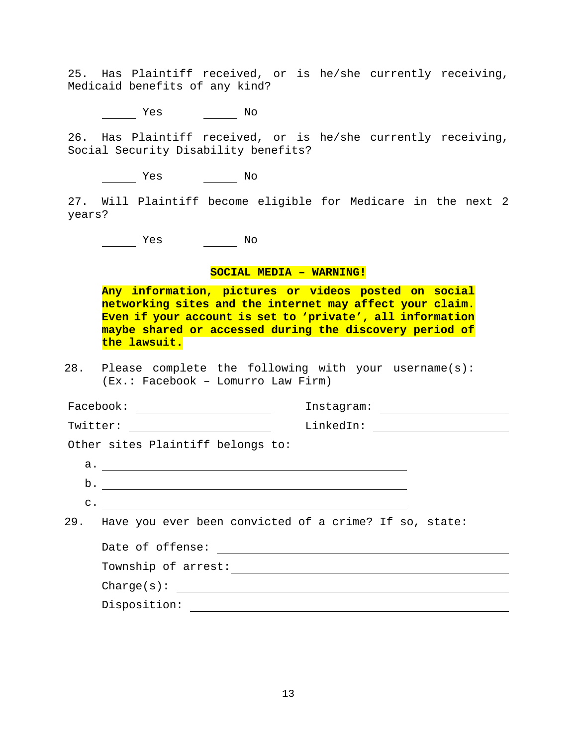25. Has Plaintiff received, or is he/she currently receiving, Medicaid benefits of any kind?

Yes No

26. Has Plaintiff received, or is he/she currently receiving, Social Security Disability benefits?

Yes No

27. Will Plaintiff become eligible for Medicare in the next 2 years?

where the Monte of the Monte of the Monte of the Monte of the Monte of the Monte of the Monte of the Monte of the Mo

### **SOCIAL MEDIA – WARNING!**

**Any information, pictures or videos posted on social networking sites and the internet may affect your claim. Even if your account is set to 'private', all information maybe shared or accessed during the discovery period of the lawsuit.** 

28. Please complete the following with your username(s): (Ex.: Facebook – Lomurro Law Firm)

|                                   | Facebook:<br><u> 1989 - Andrea State Barbara, política e a f</u> | Instagram: ____________________                                                                                                                                                                                                                                                                                                                                    |  |  |  |
|-----------------------------------|------------------------------------------------------------------|--------------------------------------------------------------------------------------------------------------------------------------------------------------------------------------------------------------------------------------------------------------------------------------------------------------------------------------------------------------------|--|--|--|
|                                   | Twitter:                                                         | $\begin{picture}(150,10) \put(0,0){\vector(1,0){100}} \put(15,0){\vector(1,0){100}} \put(15,0){\vector(1,0){100}} \put(15,0){\vector(1,0){100}} \put(15,0){\vector(1,0){100}} \put(15,0){\vector(1,0){100}} \put(15,0){\vector(1,0){100}} \put(15,0){\vector(1,0){100}} \put(15,0){\vector(1,0){100}} \put(15,0){\vector(1,0){100}} \put(15,0){\vector(1,0){100}}$ |  |  |  |
| Other sites Plaintiff belongs to: |                                                                  |                                                                                                                                                                                                                                                                                                                                                                    |  |  |  |
|                                   | a.                                                               |                                                                                                                                                                                                                                                                                                                                                                    |  |  |  |
|                                   | $\mathbf{b}$ .                                                   |                                                                                                                                                                                                                                                                                                                                                                    |  |  |  |
|                                   | $\overline{c}$ .                                                 |                                                                                                                                                                                                                                                                                                                                                                    |  |  |  |
|                                   | 29. Have you ever been convicted of a crime? If so, state:       |                                                                                                                                                                                                                                                                                                                                                                    |  |  |  |
|                                   | Date of offense:                                                 |                                                                                                                                                                                                                                                                                                                                                                    |  |  |  |
|                                   | Township of arrest:                                              |                                                                                                                                                                                                                                                                                                                                                                    |  |  |  |
|                                   | charge(s):                                                       |                                                                                                                                                                                                                                                                                                                                                                    |  |  |  |
|                                   | Disposition:                                                     |                                                                                                                                                                                                                                                                                                                                                                    |  |  |  |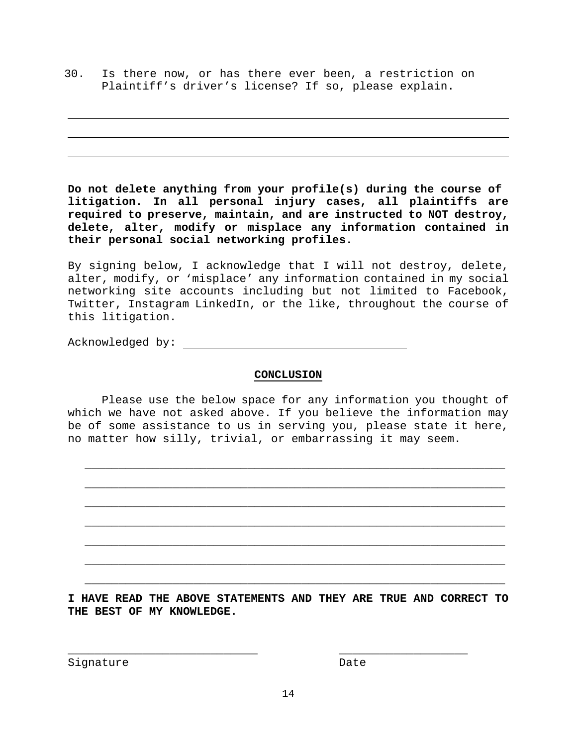30. Is there now, or has there ever been, a restriction on Plaintiff's driver's license? If so, please explain.

**Do not delete anything from your profile(s) during the course of litigation. In all personal injury cases, all plaintiffs are required to preserve, maintain, and are instructed to NOT destroy, delete, alter, modify or misplace any information contained in their personal social networking profiles.** 

By signing below, I acknowledge that I will not destroy, delete, alter, modify, or 'misplace' any information contained in my social networking site accounts including but not limited to Facebook, Twitter, Instagram LinkedIn, or the like, throughout the course of this litigation.

Acknowledged by:

## **CONCLUSION**

 Please use the below space for any information you thought of which we have not asked above. If you believe the information may be of some assistance to us in serving you, please state it here, no matter how silly, trivial, or embarrassing it may seem.

\_\_\_\_\_\_\_\_\_\_\_\_\_\_\_\_\_\_\_\_\_\_\_\_\_\_\_\_\_\_\_\_\_\_\_\_\_\_\_\_\_\_\_\_\_\_\_\_\_\_\_\_\_\_\_\_\_\_\_\_\_\_

\_\_\_\_\_\_\_\_\_\_\_\_\_\_\_\_\_\_\_\_\_\_\_\_\_\_\_\_\_\_\_\_\_\_\_\_\_\_\_\_\_\_\_\_\_\_\_\_\_\_\_\_\_\_\_\_\_\_\_\_\_\_

\_\_\_\_\_\_\_\_\_\_\_\_\_\_\_\_\_\_\_\_\_\_\_\_\_\_\_\_\_\_\_\_\_\_\_\_\_\_\_\_\_\_\_\_\_\_\_\_\_\_\_\_\_\_\_\_\_\_\_\_\_\_

\_\_\_\_\_\_\_\_\_\_\_\_\_\_\_\_\_\_\_\_\_\_\_\_\_\_\_\_\_\_\_\_\_\_\_\_\_\_\_\_\_\_\_\_\_\_\_\_\_\_\_\_\_\_\_\_\_\_\_\_\_\_

\_\_\_\_\_\_\_\_\_\_\_\_\_\_\_\_\_\_\_\_\_\_\_\_\_\_\_\_\_\_\_\_\_\_\_\_\_\_\_\_\_\_\_\_\_\_\_\_\_\_\_\_\_\_\_\_\_\_\_\_\_\_

\_\_\_\_\_\_\_\_\_\_\_\_\_\_\_\_\_\_\_\_\_\_\_\_\_\_\_\_\_\_\_\_\_\_\_\_\_\_\_\_\_\_\_\_\_\_\_\_\_\_\_\_\_\_\_\_\_\_\_\_\_\_

\_\_\_\_\_\_\_\_\_\_\_\_\_\_\_\_\_\_\_\_\_\_\_\_\_\_\_\_\_\_\_\_\_\_\_\_\_\_\_\_\_\_\_\_\_\_\_\_\_\_\_\_\_\_\_\_\_\_\_\_\_\_

**I HAVE READ THE ABOVE STATEMENTS AND THEY ARE TRUE AND CORRECT TO THE BEST OF MY KNOWLEDGE.** 

Signature Date

\_\_\_\_\_\_\_\_\_\_\_\_\_\_\_\_\_\_\_\_\_\_\_\_\_\_\_\_ \_\_\_\_\_\_\_\_\_\_\_\_\_\_\_\_\_\_\_